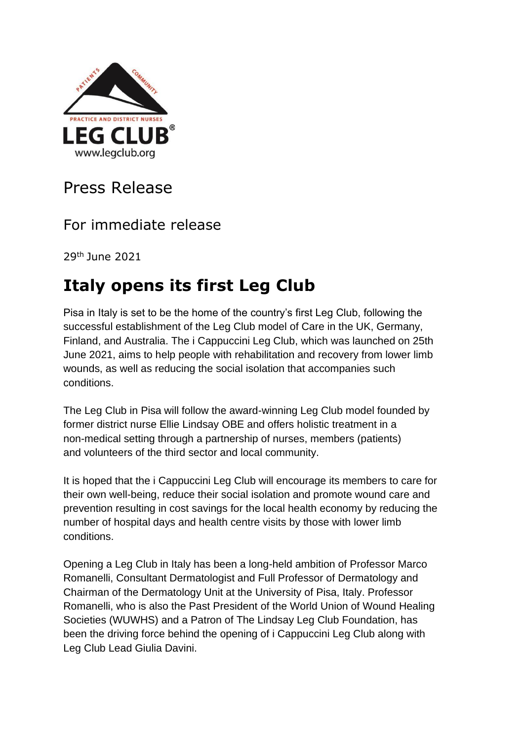

## Press Release

### For immediate release

29th June 2021

# **Italy opens its first Leg Club**

Pisa in Italy is set to be the home of the country's first Leg Club, following the successful establishment of the Leg Club model of Care in the UK, Germany, Finland, and Australia. The i Cappuccini Leg Club, which was launched on 25th June 2021, aims to help people with rehabilitation and recovery from lower limb wounds, as well as reducing the social isolation that accompanies such conditions.

The Leg Club in Pisa will follow the award-winning Leg Club model founded by former district nurse Ellie Lindsay OBE and offers holistic treatment in a non-medical setting through a partnership of nurses, members (patients) and volunteers of the third sector and local community.

It is hoped that the i Cappuccini Leg Club will encourage its members to care for their own well-being, reduce their social isolation and promote wound care and prevention resulting in cost savings for the local health economy by reducing the number of hospital days and health centre visits by those with lower limb conditions.

Opening a Leg Club in Italy has been a long-held ambition of Professor Marco Romanelli, Consultant Dermatologist and Full Professor of Dermatology and Chairman of the Dermatology Unit at the University of Pisa, Italy. Professor Romanelli, who is also the Past President of the World Union of Wound Healing Societies (WUWHS) and a Patron of The Lindsay Leg Club Foundation, has been the driving force behind the opening of i Cappuccini Leg Club along with Leg Club Lead Giulia Davini.